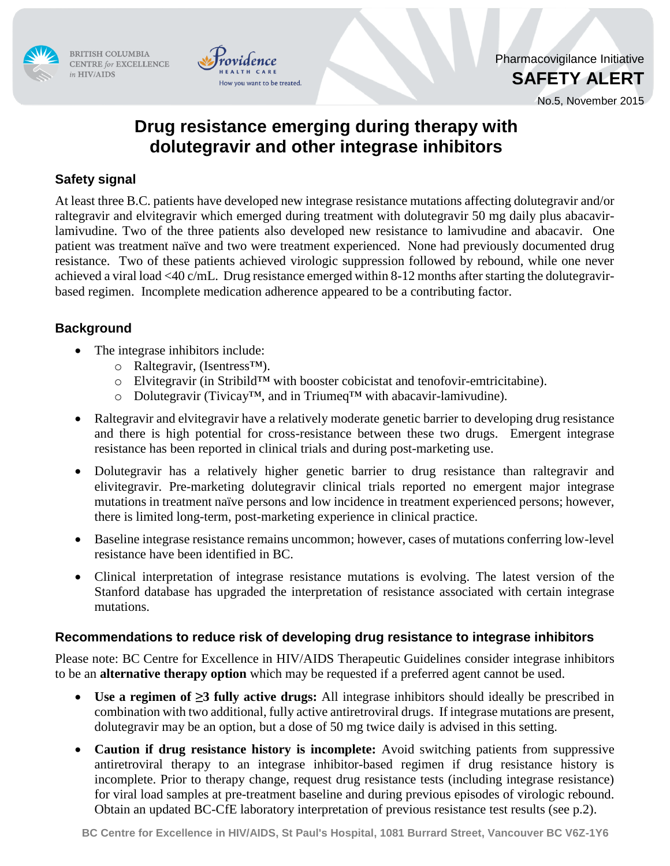

BRITISH COLUMBIA CENTRE for EXCELLENCE in HIV/AIDS



Pharmacovigilance Initiative **SAFETY ALERT**

No.5, November 2015

# **Drug resistance emerging during therapy with dolutegravir and other integrase inhibitors**

## **Safety signal**

At least three B.C. patients have developed new integrase resistance mutations affecting dolutegravir and/or raltegravir and elvitegravir which emerged during treatment with dolutegravir 50 mg daily plus abacavirlamivudine. Two of the three patients also developed new resistance to lamivudine and abacavir. One patient was treatment naïve and two were treatment experienced. None had previously documented drug resistance. Two of these patients achieved virologic suppression followed by rebound, while one never achieved a viral load <40 c/mL. Drug resistance emerged within 8-12 months after starting the dolutegravirbased regimen. Incomplete medication adherence appeared to be a contributing factor.

## **Background**

- The integrase inhibitors include:
	- o Raltegravir, (Isentress™).
	- o Elvitegravir (in Stribild™ with booster cobicistat and tenofovir-emtricitabine).
	- o Dolutegravir (Tivicay™, and in Triumeq™ with abacavir-lamivudine).
- Raltegravir and elvitegravir have a relatively moderate genetic barrier to developing drug resistance and there is high potential for cross-resistance between these two drugs. Emergent integrase resistance has been reported in clinical trials and during post-marketing use.
- Dolutegravir has a relatively higher genetic barrier to drug resistance than raltegravir and elivitegravir. Pre-marketing dolutegravir clinical trials reported no emergent major integrase mutations in treatment naïve persons and low incidence in treatment experienced persons; however, there is limited long-term, post-marketing experience in clinical practice.
- Baseline integrase resistance remains uncommon; however, cases of mutations conferring low-level resistance have been identified in BC.
- Clinical interpretation of integrase resistance mutations is evolving. The latest version of the Stanford database has upgraded the interpretation of resistance associated with certain integrase mutations.

### **Recommendations to reduce risk of developing drug resistance to integrase inhibitors**

Please note: BC Centre for Excellence in HIV/AIDS Therapeutic Guidelines consider integrase inhibitors to be an **alternative therapy option** which may be requested if a preferred agent cannot be used.

- **Use a regimen of ≥3 fully active drugs:** All integrase inhibitors should ideally be prescribed in combination with two additional, fully active antiretroviral drugs. If integrase mutations are present, dolutegravir may be an option, but a dose of 50 mg twice daily is advised in this setting.
- **Caution if drug resistance history is incomplete:** Avoid switching patients from suppressive antiretroviral therapy to an integrase inhibitor-based regimen if drug resistance history is incomplete. Prior to therapy change, request drug resistance tests (including integrase resistance) for viral load samples at pre-treatment baseline and during previous episodes of virologic rebound. Obtain an updated BC-CfE laboratory interpretation of previous resistance test results (see p.2).